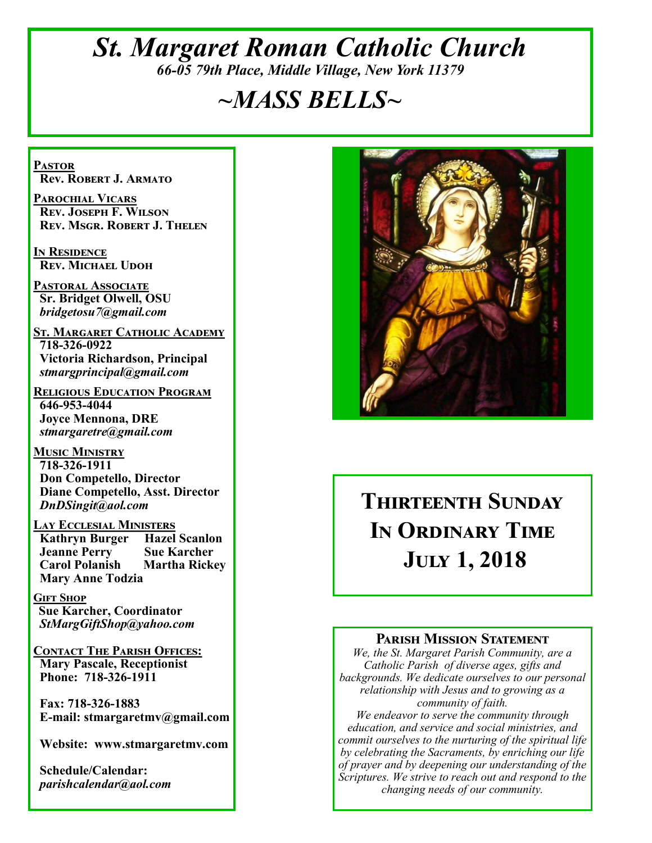# *St. Margaret Roman Catholic Church 66-05 79th Place, Middle Village, New York 11379*

# *~MASS BELLS~*

**Pastor Rev. Robert J. Armato**

**Parochial Vicars Rev. Joseph F. Wilson Rev. Msgr. Robert J. Thelen**

**In Residence Rev. Michael Udoh**

**Pastoral Associate Sr. Bridget Olwell, OSU**  *bridgetosu7@gmail.com*

**St. Margaret Catholic Academy 718-326-0922 Victoria Richardson, Principal**  *stmargprincipal@gmail.com*

**Religious Education Program 646-953-4044 Joyce Mennona, DRE** *stmargaretre@gmail.com*

**Music Ministry 718-326-1911 Don Competello, Director Diane Competello, Asst. Director** *DnDSingit@aol.com*

**Lay Ecclesial Ministers Kathryn Burger Jeanne Perry Sue Karcher Carol Polanish Martha Rickey Mary Anne Todzia**

**Gift Shop Sue Karcher, Coordinator** *StMargGiftShop@yahoo.com*

**Contact The Parish Offices: Mary Pascale, Receptionist Phone: 718-326-1911** 

 **Fax: 718-326-1883 E-mail: stmargaretmv@gmail.com**

 **Website: www.stmargaretmv.com**

 **Schedule/Calendar:** *parishcalendar@aol.com* 



# **Thirteenth Sunday In Ordinary Time July 1, 2018**

#### **Parish Mission Statement**

*We, the St. Margaret Parish Community, are a Catholic Parish of diverse ages, gifts and backgrounds. We dedicate ourselves to our personal relationship with Jesus and to growing as a community of faith.*

*We endeavor to serve the community through education, and service and social ministries, and commit ourselves to the nurturing of the spiritual life by celebrating the Sacraments, by enriching our life of prayer and by deepening our understanding of the Scriptures. We strive to reach out and respond to the changing needs of our community.*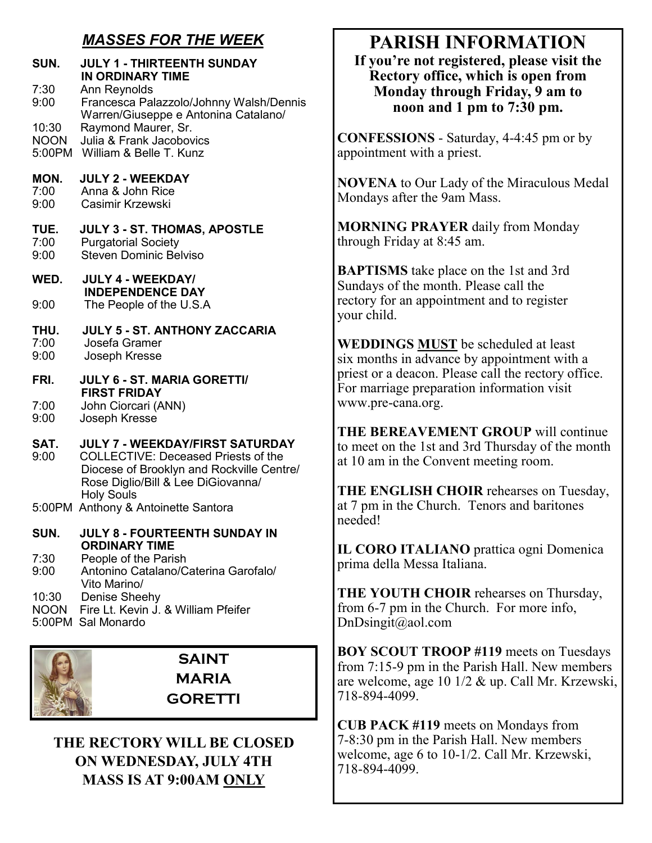# *MASSES FOR THE WEEK*

#### **SUN. JULY 1 - THIRTEENTH SUNDAY IN ORDINARY TIME**<br>7:30 Ann Revnolds Ann Reynolds 9:00 Francesca Palazzolo/Johnny Walsh/Dennis Warren/Giuseppe e Antonina Catalano/ 10:30 Raymond Maurer, Sr. NOON Julia & Frank Jacobovics 5:00PM William & Belle T. Kunz **MON. JULY 2 - WEEKDAY** 7:00 Anna & John Rice 9:00 Casimir Krzewski **TUE. JULY 3 - ST. THOMAS, APOSTLE** 7:00 Purgatorial Society 9:00 Steven Dominic Belviso **WED. JULY 4 - WEEKDAY/ INDEPENDENCE DAY** 9:00 The People of the U.S.A **THU. JULY 5 - ST. ANTHONY ZACCARIA**  7:00 Josefa Gramer 9:00 Joseph Kresse **FRI. JULY 6 - ST. MARIA GORETTI/ FIRST FRIDAY**<br>7:00 John Ciorcari (A 7:00 John Ciorcari (ANN)<br>9:00 Joseph Kresse Joseph Kresse **SAT. JULY 7 - WEEKDAY/FIRST SATURDAY**  9:00 COLLECTIVE: Deceased Priests of the Diocese of Brooklyn and Rockville Centre/ Rose Diglio/Bill & Lee DiGiovanna/ Holy Souls 5:00PM Anthony & Antoinette Santora **SUN. JULY 8 - FOURTEENTH SUNDAY IN ORDINARY TIME**  7:30 People of the Parish 9:00 Antonino Catalano/Caterina Garofalo/ Vito Marino/ 10:30 Denise Sheehy

NOON Fire Lt. Kevin J. & William Pfeifer





## **SAINT MARIA GORETTI**

**THE RECTORY WILL BE CLOSED ON WEDNESDAY, JULY 4TH MASS IS AT 9:00AM ONLY**

# **PARISH INFORMATION**

**If you're not registered, please visit the Rectory office, which is open from Monday through Friday, 9 am to noon and 1 pm to 7:30 pm.**

**CONFESSIONS** - Saturday, 4-4:45 pm or by appointment with a priest.

**NOVENA** to Our Lady of the Miraculous Medal Mondays after the 9am Mass.

**MORNING PRAYER** daily from Monday through Friday at 8:45 am.

**BAPTISMS** take place on the 1st and 3rd Sundays of the month. Please call the rectory for an appointment and to register your child.

**WEDDINGS MUST** be scheduled at least six months in advance by appointment with a priest or a deacon. Please call the rectory office. For marriage preparation information visit www.pre-cana.org.

**THE BEREAVEMENT GROUP** will continue to meet on the 1st and 3rd Thursday of the month at 10 am in the Convent meeting room.

**THE ENGLISH CHOIR** rehearses on Tuesday, at 7 pm in the Church. Tenors and baritones needed!

**IL CORO ITALIANO** prattica ogni Domenica prima della Messa Italiana.

**THE YOUTH CHOIR** rehearses on Thursday, from 6-7 pm in the Church. For more info, DnDsingit@aol.com

**BOY SCOUT TROOP #119** meets on Tuesdays from 7:15-9 pm in the Parish Hall. New members are welcome, age 10 1/2 & up. Call Mr. Krzewski, 718-894-4099.

**CUB PACK #119** meets on Mondays from 7-8:30 pm in the Parish Hall. New members welcome, age 6 to 10-1/2. Call Mr. Krzewski, 718-894-4099.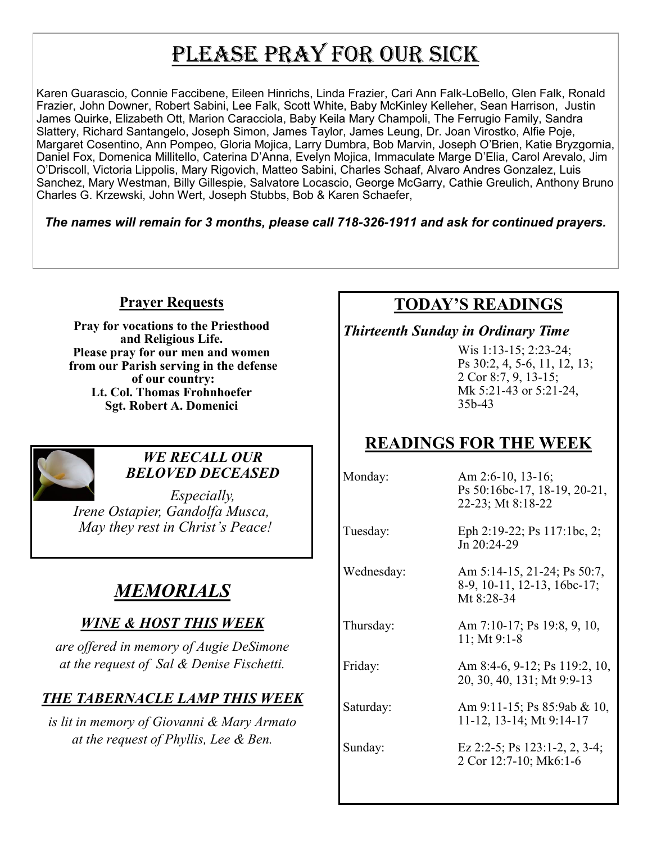# PLEASE PRAY FOR OUR SICK

Karen Guarascio, Connie Faccibene, Eileen Hinrichs, Linda Frazier, Cari Ann Falk-LoBello, Glen Falk, Ronald Frazier, John Downer, Robert Sabini, Lee Falk, Scott White, Baby McKinley Kelleher, Sean Harrison, Justin James Quirke, Elizabeth Ott, Marion Caracciola, Baby Keila Mary Champoli, The Ferrugio Family, Sandra Slattery, Richard Santangelo, Joseph Simon, James Taylor, James Leung, Dr. Joan Virostko, Alfie Poje, Margaret Cosentino, Ann Pompeo, Gloria Mojica, Larry Dumbra, Bob Marvin, Joseph O'Brien, Katie Bryzgornia, Daniel Fox, Domenica Millitello, Caterina D'Anna, Evelyn Mojica, Immaculate Marge D'Elia, Carol Arevalo, Jim O'Driscoll, Victoria Lippolis, Mary Rigovich, Matteo Sabini, Charles Schaaf, Alvaro Andres Gonzalez, Luis Sanchez, Mary Westman, Billy Gillespie, Salvatore Locascio, George McGarry, Cathie Greulich, Anthony Bruno Charles G. Krzewski, John Wert, Joseph Stubbs, Bob & Karen Schaefer,

*The names will remain for 3 months, please call 718-326-1911 and ask for continued prayers.*

## **Prayer Requests**

**Pray for vocations to the Priesthood and Religious Life. Please pray for our men and women from our Parish serving in the defense of our country: Lt. Col. Thomas Frohnhoefer Sgt. Robert A. Domenici** 



### *WE RECALL OUR BELOVED DECEASED*

*Especially, Irene Ostapier, Gandolfa Musca, May they rest in Christ's Peace!*

# *MEMORIALS*

# *WINE & HOST THIS WEEK*

*are offered in memory of Augie DeSimone at the request of Sal & Denise Fischetti.* 

# *THE TABERNACLE LAMP THIS WEEK*

*is lit in memory of Giovanni & Mary Armato at the request of Phyllis, Lee & Ben.* 

# **TODAY'S READINGS**

### *Thirteenth Sunday in Ordinary Time*

Wis 1:13-15; 2:23-24; Ps 30:2, 4, 5-6, 11, 12, 13; 2 Cor 8:7, 9, 13-15; Mk 5:21-43 or 5:21-24, 35b-43

# **READINGS FOR THE WEEK**

Monday: Am 2:6-10, 13-16; Ps 50:16bc-17, 18-19, 20-21, 22-23; Mt 8:18-22

Tuesday: Eph 2:19-22; Ps 117:1bc, 2; Jn 20:24-29

Wednesday: Am 5:14-15, 21-24; Ps 50:7, 8-9, 10-11, 12-13, 16bc-17; Mt 8:28-34

Thursday: Am 7:10-17; Ps 19:8, 9, 10,

11; Mt 9:1-8

Friday: Am 8:4-6, 9-12; Ps 119:2, 10, 20, 30, 40, 131; Mt 9:9-13

Saturday: Am 9:11-15; Ps 85:9ab & 10, 11-12, 13-14; Mt 9:14-17

Sunday: Ez 2:2-5; Ps 123:1-2, 2, 3-4; 2 Cor 12:7-10; Mk6:1-6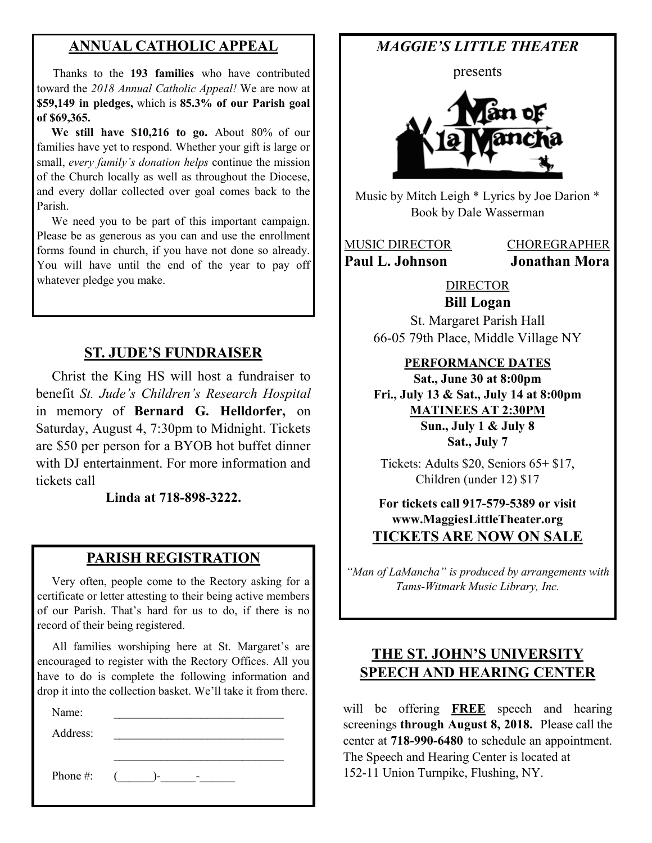## **ANNUAL CATHOLIC APPEAL**

 Thanks to the **193 families** who have contributed toward the *2018 Annual Catholic Appeal!* We are now at **\$59,149 in pledges,** which is **85.3% of our Parish goal of \$69,365.** 

We still have \$10,216 to go. About 80% of our families have yet to respond. Whether your gift is large or small, *every family's donation helps* continue the mission of the Church locally as well as throughout the Diocese, and every dollar collected over goal comes back to the Parish.

 We need you to be part of this important campaign. Please be as generous as you can and use the enrollment forms found in church, if you have not done so already. You will have until the end of the year to pay off whatever pledge you make.

## **ST. JUDE'S FUNDRAISER**

 Christ the King HS will host a fundraiser to benefit *St. Jude's Children's Research Hospital*  in memory of **Bernard G. Helldorfer,** on Saturday, August 4, 7:30pm to Midnight. Tickets are \$50 per person for a BYOB hot buffet dinner with DJ entertainment. For more information and tickets call

**Linda at 718-898-3222.**

### **PARISH REGISTRATION**

 Very often, people come to the Rectory asking for a certificate or letter attesting to their being active members of our Parish. That's hard for us to do, if there is no record of their being registered.

 All families worshiping here at St. Margaret's are encouraged to register with the Rectory Offices. All you have to do is complete the following information and drop it into the collection basket. We'll take it from there.

 $\mathcal{L}_\text{max}$ 

Name:

Address:

Phone #:  $($   $)$ -  $-$ 

## *MAGGIE'S LITTLE THEATER*

presents



Music by Mitch Leigh \* Lyrics by Joe Darion \* Book by Dale Wasserman

MUSIC DIRECTOR CHOREGRAPHER **Paul L. Johnson Jonathan Mora**

DIRECTOR

**Bill Logan** St. Margaret Parish Hall 66-05 79th Place, Middle Village NY

**PERFORMANCE DATES**

**Sat., June 30 at 8:00pm Fri., July 13 & Sat., July 14 at 8:00pm MATINEES AT 2:30PM Sun., July 1 & July 8 Sat., July 7**

Tickets: Adults \$20, Seniors 65+ \$17, Children (under 12) \$17

### **For tickets call 917-579-5389 or visit www.MaggiesLittleTheater.org TICKETS ARE NOW ON SALE**

*"Man of LaMancha" is produced by arrangements with Tams-Witmark Music Library, Inc.*

## **THE ST. JOHN'S UNIVERSITY SPEECH AND HEARING CENTER**

will be offering **FREE** speech and hearing screenings **through August 8, 2018.** Please call the center at **718-990-6480** to schedule an appointment. The Speech and Hearing Center is located at 152-11 Union Turnpike, Flushing, NY.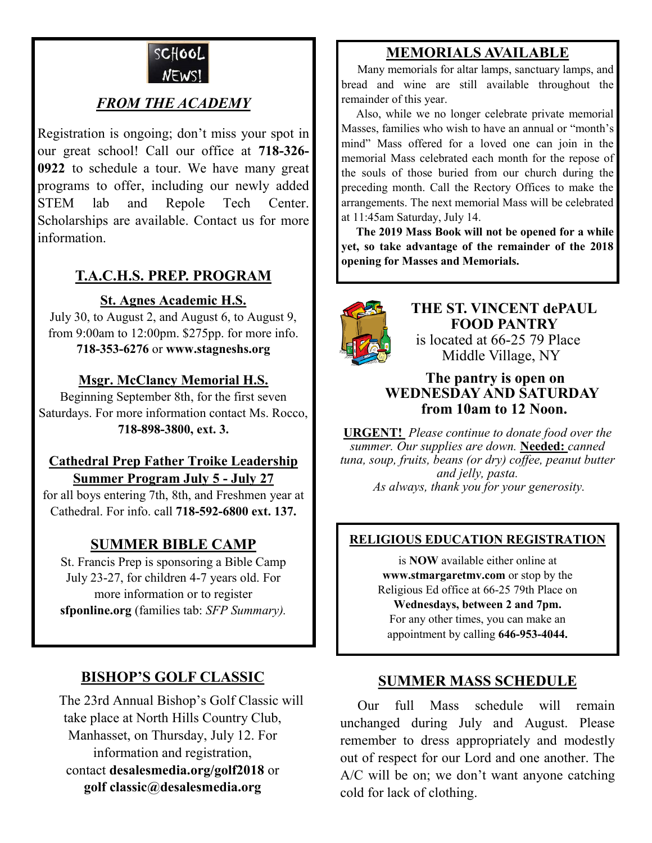

## *FROM THE ACADEMY*

Registration is ongoing; don't miss your spot in our great school! Call our office at **718-326- 0922** to schedule a tour. We have many great programs to offer, including our newly added STEM lab and Repole Tech Center. Scholarships are available. Contact us for more information.

## **T.A.C.H.S. PREP. PROGRAM**

#### **St. Agnes Academic H.S.**

July 30, to August 2, and August 6, to August 9, from 9:00am to 12:00pm. \$275pp. for more info. **718-353-6276** or **www.stagneshs.org**

#### **Msgr. McClancy Memorial H.S.**

Beginning September 8th, for the first seven Saturdays. For more information contact Ms. Rocco, **718-898-3800, ext. 3.**

#### **Cathedral Prep Father Troike Leadership Summer Program July 5 - July 27**

for all boys entering 7th, 8th, and Freshmen year at Cathedral. For info. call **718-592-6800 ext. 137.**

#### **SUMMER BIBLE CAMP**

St. Francis Prep is sponsoring a Bible Camp July 23-27, for children 4-7 years old. For more information or to register **sfponline.org** (families tab: *SFP Summary).*

#### **BISHOP'S GOLF CLASSIC**

 The 23rd Annual Bishop's Golf Classic will take place at North Hills Country Club, Manhasset, on Thursday, July 12. For information and registration, contact **desalesmedia.org/golf2018** or **golf classic@desalesmedia.org**

### **MEMORIALS AVAILABLE**

Many memorials for altar lamps, sanctuary lamps, and bread and wine are still available throughout the remainder of this year.

 Also, while we no longer celebrate private memorial Masses, families who wish to have an annual or "month's mind" Mass offered for a loved one can join in the memorial Mass celebrated each month for the repose of the souls of those buried from our church during the preceding month. Call the Rectory Offices to make the arrangements. The next memorial Mass will be celebrated at 11:45am Saturday, July 14.

 **The 2019 Mass Book will not be opened for a while yet, so take advantage of the remainder of the 2018 opening for Masses and Memorials.**



**THE ST. VINCENT dePAUL FOOD PANTRY** is located at 66-25 79 Place Middle Village, NY

#### **The pantry is open on WEDNESDAY AND SATURDAY from 10am to 12 Noon.**

**URGENT!** *Please continue to donate food over the summer. Our supplies are down.* **Needed:** *canned tuna, soup, fruits, beans (or dry) coffee, peanut butter and jelly, pasta. As always, thank you for your generosity.*

#### **RELIGIOUS EDUCATION REGISTRATION**

is **NOW** available either online at **www.stmargaretmv.com** or stop by the Religious Ed office at 66-25 79th Place on **Wednesdays, between 2 and 7pm.** For any other times, you can make an

appointment by calling **646-953-4044.**

#### **SUMMER MASS SCHEDULE**

 Our full Mass schedule will remain unchanged during July and August. Please remember to dress appropriately and modestly out of respect for our Lord and one another. The A/C will be on; we don't want anyone catching cold for lack of clothing.